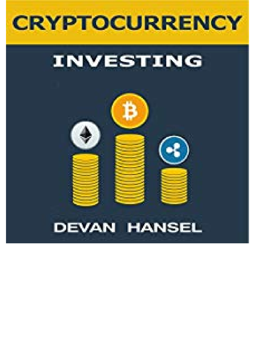

## **INVESTING**

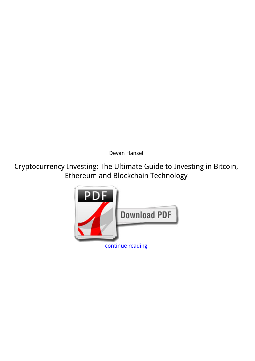*Devan Hansel*

**Cryptocurrency Investing: The Ultimate Guide to Investing in Bitcoin, Ethereum and Blockchain Technology**

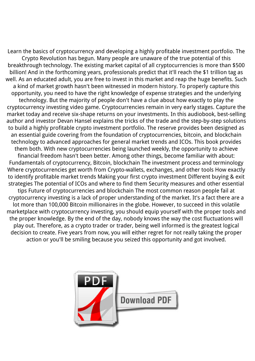Learn the basics of cryptocurrency and developing a highly profitable investment portfolio. The Crypto Revolution has begun. Many people are unaware of the true potential of this breakthrough technology. The existing market capital of all cryptocurrencies is more than \$500 billion! And in the forthcoming years, professionals predict that it'll reach the \$1 trillion tag as well. As an educated adult, you are free to invest in this market and reap the huge benefits. Such a kind of market growth hasn't been witnessed in modern history. To properly capture this opportunity, you need to have the right knowledge of expense strategies and the underlying technology. But the majority of people don't have a clue about how exactly to play the cryptocurrency investing video game. Cryptocurrencies remain in very early stages. Capture the market today and receive six-shape returns on your investments. In this audiobook, best-selling author and investor Devan Hansel explains the tricks of the trade and the step-by-step solutions to build a highly profitable crypto investment portfolio. The reserve provides been designed as an essential guide covering from the foundation of cryptocurrencies, bitcoin, and blockchain technology to advanced approaches for general market trends and ICOs. This book provides them both. With new cryptocurrencies being launched weekly, the opportunity to achieve financial freedom hasn't been better. Among other things, become familiar with about: Fundamentals of cryptocurrency, Bitcoin, blockchain The investment process and terminology Where cryptocurrencies get worth from Crypto-wallets, exchanges, and other tools How exactly to identify profitable market trends Making your first crypto investment Different buying & exit strategies The potential of ICOs and where to find them Security measures and other essential tips Future of cryptocurrencies and blockchain The most common reason people fail at cryptocurrency investing is a lack of proper understanding of the market. It's a fact there are a lot more than 100,000 Bitcoin millionaires in the globe. However, to succeed in this volatile marketplace with cryptocurrency investing, you should equip yourself with the proper tools and the proper knowledge. By the end of the day, nobody knows the way the cost fluctuations will play out. Therefore, as a crypto trader or trader, being well informed is the greatest logical decision to create. Five years from now, you will either regret for not really taking the proper action or you'll be smiling because you seized this opportunity and got involved.